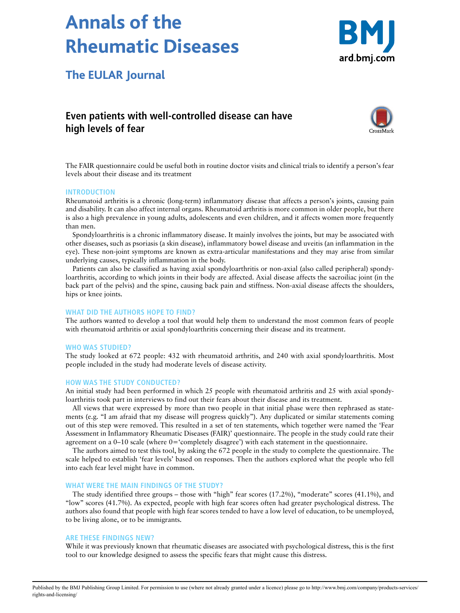# **Annals of the Rheumatic Diseases**



**The EULAR Journal**

# **Even patients with well-controlled disease can have high levels of fear**



The FAIR questionnaire could be useful both in routine doctor visits and clinical trials to identify a person's fear levels about their disease and its treatment

# **INTRODUCTION**

Rheumatoid arthritis is a chronic (long-term) inflammatory disease that affects a person's joints, causing pain and disability. It can also affect internal organs. Rheumatoid arthritis is more common in older people, but there is also a high prevalence in young adults, adolescents and even children, and it affects women more frequently than men.

Spondyloarthritis is a chronic inflammatory disease. It mainly involves the joints, but may be associated with other diseases, such as psoriasis (a skin disease), inflammatory bowel disease and uveitis (an inflammation in the eye). These non-joint symptoms are known as extra-articular manifestations and they may arise from similar underlying causes, typically inflammation in the body.

Patients can also be classified as having axial spondyloarthritis or non-axial (also called peripheral) spondyloarthritis, according to which joints in their body are affected. Axial disease affects the sacroiliac joint (in the back part of the pelvis) and the spine, causing back pain and stiffness. Non-axial disease affects the shoulders, hips or knee joints.

#### **WHAT DID THE AUTHORS HOPE TO FIND?**

The authors wanted to develop a tool that would help them to understand the most common fears of people with rheumatoid arthritis or axial spondyloarthritis concerning their disease and its treatment.

#### **WHO WAS STUDIED?**

The study looked at 672 people: 432 with rheumatoid arthritis, and 240 with axial spondyloarthritis. Most people included in the study had moderate levels of disease activity.

## **HOW WAS THE STUDY CONDUCTED?**

An initial study had been performed in which 25 people with rheumatoid arthritis and 25 with axial spondyloarthritis took part in interviews to find out their fears about their disease and its treatment.

All views that were expressed by more than two people in that initial phase were then rephrased as statements (e.g. "I am afraid that my disease will progress quickly"). Any duplicated or similar statements coming out of this step were removed. This resulted in a set of ten statements, which together were named the 'Fear Assessment in Inflammatory Rheumatic Diseases (FAIR)' questionnaire. The people in the study could rate their agreement on a 0–10 scale (where 0='completely disagree') with each statement in the questionnaire.

The authors aimed to test this tool, by asking the 672 people in the study to complete the questionnaire. The scale helped to establish 'fear levels' based on responses. Then the authors explored what the people who fell into each fear level might have in common.

#### **WHAT WERE THE MAIN FINDINGS OF THE STUDY?**

The study identified three groups – those with "high" fear scores (17.2%), "moderate" scores (41.1%), and "low" scores (41.7%). As expected, people with high fear scores often had greater psychological distress. The authors also found that people with high fear scores tended to have a low level of education, to be unemployed, to be living alone, or to be immigrants.

#### **ARE THESE FINDINGS NEW?**

While it was previously known that rheumatic diseases are associated with psychological distress, this is the first tool to our knowledge designed to assess the specific fears that might cause this distress.